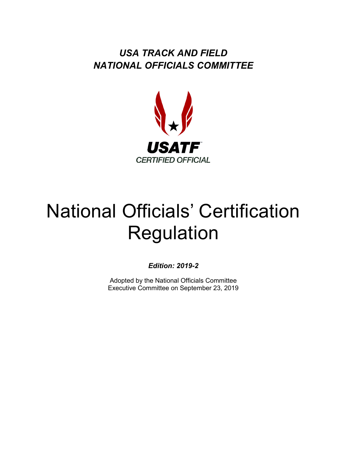*USA TRACK AND FIELD NATIONAL OFFICIALS COMMITTEE*



# National Officials' Certification Regulation

*Edition: 2019-2*

Adopted by the National Officials Committee Executive Committee on September 23, 2019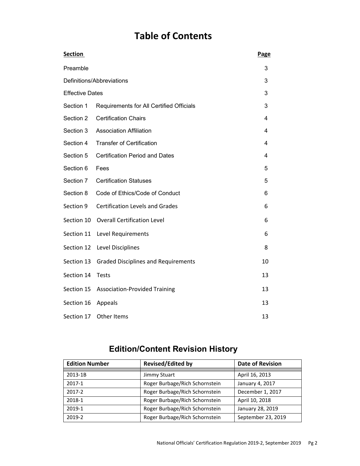## **Table of Contents**

| <b>Section</b>            |                                            | Page |
|---------------------------|--------------------------------------------|------|
| Preamble                  |                                            |      |
| Definitions/Abbreviations |                                            |      |
| <b>Effective Dates</b>    |                                            |      |
| Section 1                 | Requirements for All Certified Officials   | 3    |
| Section 2                 | <b>Certification Chairs</b>                | 4    |
| Section 3                 | <b>Association Affiliation</b>             | 4    |
| Section 4                 | <b>Transfer of Certification</b>           | 4    |
| Section 5                 | <b>Certification Period and Dates</b>      | 4    |
| Section 6                 | Fees                                       | 5    |
| Section 7                 | <b>Certification Statuses</b>              | 5    |
| Section 8                 | Code of Ethics/Code of Conduct             | 6    |
| Section 9                 | <b>Certification Levels and Grades</b>     | 6    |
| Section 10                | <b>Overall Certification Level</b>         | 6    |
| Section 11                | Level Requirements                         | 6    |
| Section 12                | Level Disciplines                          | 8    |
| Section 13                | <b>Graded Disciplines and Requirements</b> | 10   |
| Section 14                | <b>Tests</b>                               | 13   |
| Section 15                | <b>Association-Provided Training</b>       | 13   |
| Section 16                | Appeals                                    | 13   |
| Section 17                | Other Items                                | 13   |

### **Edition/Content Revision History**

| <b>Edition Number</b> | <b>Revised/Edited by</b>       | <b>Date of Revision</b> |  |
|-----------------------|--------------------------------|-------------------------|--|
|                       |                                |                         |  |
| 2013-1B               | Jimmy Stuart                   | April 16, 2013          |  |
| 2017-1                | Roger Burbage/Rich Schornstein | January 4, 2017         |  |
| 2017-2                | Roger Burbage/Rich Schornstein | December 1, 2017        |  |
| 2018-1                | Roger Burbage/Rich Schornstein | April 10, 2018          |  |
| 2019-1                | Roger Burbage/Rich Schornstein | January 28, 2019        |  |
| 2019-2                | Roger Burbage/Rich Schornstein | September 23, 2019      |  |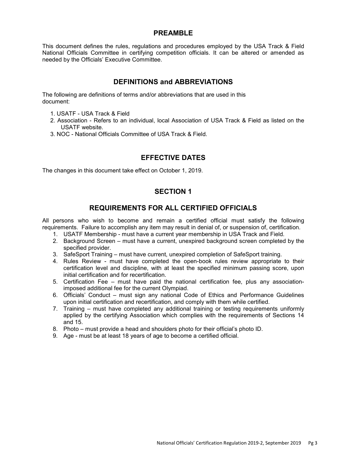#### **PREAMBLE**

This document defines the rules, regulations and procedures employed by the USA Track & Field National Officials Committee in certifying competition officials. It can be altered or amended as needed by the Officials' Executive Committee.

#### **DEFINITIONS and ABBREVIATIONS**

The following are definitions of terms and/or abbreviations that are used in this document:

- 1. USATF USA Track & Field
- 2. Association Refers to an individual, local Association of USA Track & Field as listed on the USATF website.
- 3. NOC National Officials Committee of USA Track & Field.

#### **EFFECTIVE DATES**

The changes in this document take effect on October 1, 2019.

#### **SECTION 1**

#### **REQUIREMENTS FOR ALL CERTIFIED OFFICIALS**

All persons who wish to become and remain a certified official must satisfy the following requirements. Failure to accomplish any item may result in denial of, or suspension of, certification.

- 1. USATF Membership must have a current year membership in USA Track and Field.
- 2. Background Screen must have a current, unexpired background screen completed by the specified provider.
- 3. SafeSport Training must have current, unexpired completion of SafeSport training.
- 4. Rules Review must have completed the open-book rules review appropriate to their certification level and discipline, with at least the specified minimum passing score, upon initial certification and for recertification.
- 5. Certification Fee must have paid the national certification fee, plus any associationimposed additional fee for the current Olympiad.
- 6. Officials' Conduct must sign any national Code of Ethics and Performance Guidelines upon initial certification and recertification, and comply with them while certified.
- 7. Training must have completed any additional training or testing requirements uniformly applied by the certifying Association which complies with the requirements of Sections 14 and 15.
- 8. Photo must provide a head and shoulders photo for their official's photo ID.
- 9. Age must be at least 18 years of age to become a certified official.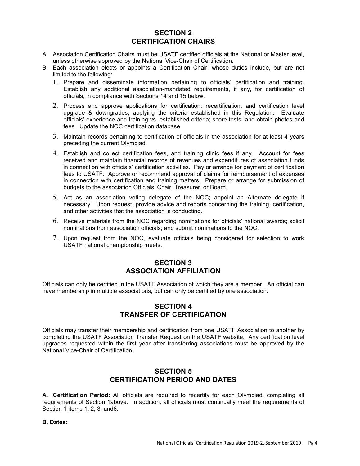#### **SECTION 2 CERTIFICATION CHAIRS**

- A. Association Certification Chairs must be USATF certified officials at the National or Master level, unless otherwise approved by the National Vice-Chair of Certification.
- B. Each association elects or appoints a Certification Chair, whose duties include, but are not limited to the following:
	- 1. Prepare and disseminate information pertaining to officials' certification and training. Establish any additional association-mandated requirements, if any, for certification of officials, in compliance with Sections 14 and 15 below.
	- 2. Process and approve applications for certification; recertification; and certification level upgrade & downgrades, applying the criteria established in this Regulation. Evaluate officials' experience and training vs. established criteria; score tests; and obtain photos and fees. Update the NOC certification database.
	- 3. Maintain records pertaining to certification of officials in the association for at least 4 years preceding the current Olympiad.
	- 4. Establish and collect certification fees, and training clinic fees if any. Account for fees received and maintain financial records of revenues and expenditures of association funds in connection with officials' certification activities. Pay or arrange for payment of certification fees to USATF. Approve or recommend approval of claims for reimbursement of expenses in connection with certification and training matters. Prepare or arrange for submission of budgets to the association Officials' Chair, Treasurer, or Board.
	- 5. Act as an association voting delegate of the NOC; appoint an Alternate delegate if necessary. Upon request, provide advice and reports concerning the training, certification, and other activities that the association is conducting.
	- 6. Receive materials from the NOC regarding nominations for officials' national awards; solicit nominations from association officials; and submit nominations to the NOC.
	- 7. Upon request from the NOC, evaluate officials being considered for selection to work USATF national championship meets.

#### **SECTION 3 ASSOCIATION AFFILIATION**

Officials can only be certified in the USATF Association of which they are a member. An official can have membership in multiple associations, but can only be certified by one association.

#### **SECTION 4 TRANSFER OF CERTIFICATION**

Officials may transfer their membership and certification from one USATF Association to another by completing the USATF Association Transfer Request on the USATF website. Any certification level upgrades requested within the first year after transferring associations must be approved by the National Vice-Chair of Certification.

#### **SECTION 5 CERTIFICATION PERIOD AND DATES**

**A. Certification Period:** All officials are required to recertify for each Olympiad, completing all requirements of Section 1above. In addition, all officials must continually meet the requirements of Section 1 items 1, 2, 3, and6.

**B. Dates:**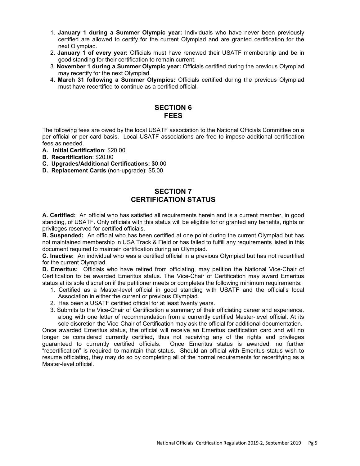- 1. **January 1 during a Summer Olympic year:** Individuals who have never been previously certified are allowed to certify for the current Olympiad and are granted certification for the next Olympiad.
- 2. **January 1 of every year:** Officials must have renewed their USATF membership and be in good standing for their certification to remain current.
- 3. **November 1 during a Summer Olympic year:** Officials certified during the previous Olympiad may recertify for the next Olympiad.
- 4. **March 31 following a Summer Olympics:** Officials certified during the previous Olympiad must have recertified to continue as a certified official.

#### **SECTION 6 FEES**

The following fees are owed by the local USATF association to the National Officials Committee on a per official or per card basis. Local USATF associations are free to impose additional certification fees as needed.

- **A. Initial Certification**: \$20.00
- **B. Recertification**: \$20.00
- **C. Upgrades/Additional Certifications:** \$0.00
- **D. Replacement Cards** (non-upgrade): \$5.00

#### **SECTION 7 CERTIFICATION STATUS**

**A. Certified:** An official who has satisfied all requirements herein and is a current member, in good standing, of USATF. Only officials with this status will be eligible for or granted any benefits, rights or privileges reserved for certified officials.

**B. Suspended:** An official who has been certified at one point during the current Olympiad but has not maintained membership in USA Track & Field or has failed to fulfill any requirements listed in this document required to maintain certification during an Olympiad.

**C. Inactive:** An individual who was a certified official in a previous Olympiad but has not recertified for the current Olympiad.

**D. Emeritus:** Officials who have retired from officiating, may petition the National Vice-Chair of Certification to be awarded Emeritus status. The Vice-Chair of Certification may award Emeritus status at its sole discretion if the petitioner meets or completes the following minimum requirements:

- 1. Certified as a Master-level official in good standing with USATF and the official's local Association in either the current or previous Olympiad.
- 2. Has been a USATF certified official for at least twenty years.
- 3. Submits to the Vice-Chair of Certification a summary of their officiating career and experience. along with one letter of recommendation from a currently certified Master-level official. At its sole discretion the Vice-Chair of Certification may ask the official for additional documentation.

Once awarded Emeritus status, the official will receive an Emeritus certification card and will no longer be considered currently certified, thus not receiving any of the rights and privileges guaranteed to currently certified officials. Once Emeritus status is awarded, no further "recertification" is required to maintain that status. Should an official with Emeritus status wish to resume officiating, they may do so by completing all of the normal requirements for recertifying as a Master-level official.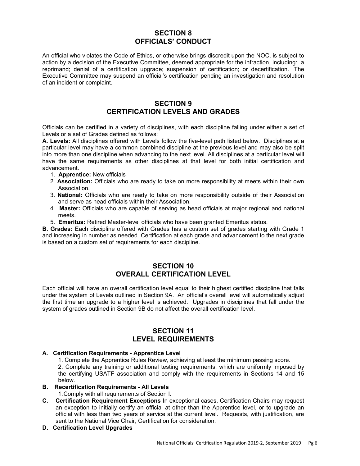#### **SECTION 8 OFFICIALS' CONDUCT**

An official who violates the Code of Ethics, or otherwise brings discredit upon the NOC, is subject to action by a decision of the Executive Committee, deemed appropriate for the infraction, including: a reprimand; denial of a certification upgrade; suspension of certification; or decertification. The Executive Committee may suspend an official's certification pending an investigation and resolution of an incident or complaint.

#### **SECTION 9**

#### **CERTIFICATION LEVELS AND GRADES**

Officials can be certified in a variety of disciplines, with each discipline falling under either a set of Levels or a set of Grades defined as follows:

**A. Levels:** All disciplines offered with Levels follow the five-level path listed below. Disciplines at a particular level may have a common combined discipline at the previous level and may also be split into more than one discipline when advancing to the next level. All disciplines at a particular level will have the same requirements as other disciplines at that level for both initial certification and advancement.

- 1. **Apprentice:** New officials
- 2. **Association:** Officials who are ready to take on more responsibility at meets within their own Association.
- 3. **National:** Officials who are ready to take on more responsibility outside of their Association and serve as head officials within their Association.
- 4. **Master:** Officials who are capable of serving as head officials at major regional and national meets.
- 5. **Emeritus:** Retired Master-level officials who have been granted Emeritus status.

**B. Grades:** Each discipline offered with Grades has a custom set of grades starting with Grade 1 and increasing in number as needed. Certification at each grade and advancement to the next grade is based on a custom set of requirements for each discipline.

#### **SECTION 10 OVERALL CERTIFICATION LEVEL**

Each official will have an overall certification level equal to their highest certified discipline that falls under the system of Levels outlined in Section 9A. An official's overall level will automatically adjust the first time an upgrade to a higher level is achieved. Upgrades in disciplines that fall under the system of grades outlined in Section 9B do not affect the overall certification level.

#### **SECTION 11 LEVEL REQUIREMENTS**

#### **A. Certification Requirements - Apprentice Level**

1. Complete the Apprentice Rules Review, achieving at least the minimum passing score.

2. Complete any training or additional testing requirements, which are uniformly imposed by the certifying USATF association and comply with the requirements in Sections 14 and 15 below.

#### **B. Recertification Requirements - All Levels**

1.Comply with all requirements of Section I.

- **C. Certification Requirement Exceptions** In exceptional cases, Certification Chairs may request an exception to initially certify an official at other than the Apprentice level, or to upgrade an official with less than two years of service at the current level. Requests, with justification, are sent to the National Vice Chair, Certification for consideration.
- **D. Certification Level Upgrades**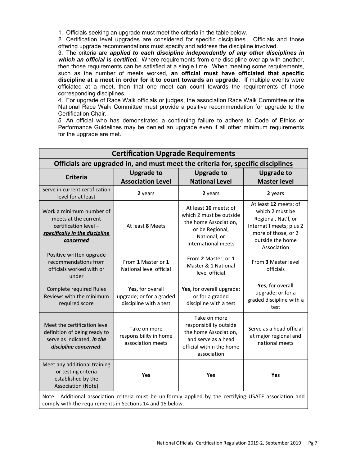1. Officials seeking an upgrade must meet the criteria in the table below.

2. Certification level upgrades are considered for specific disciplines. Officials and those offering upgrade recommendations must specify and address the discipline involved.

3. The criteria are *applied to each discipline independently of any other disciplines in which an official is certified.* Where requirements from one discipline overlap with another, then those requirements can be satisfied at a single time. When meeting some requirements, such as the number of meets worked, **an official must have officiated that specific discipline at a meet in order for it to count towards an upgrade**. If multiple events were officiated at a meet, then that one meet can count towards the requirements of those corresponding disciplines.

4. For upgrade of Race Walk officials or judges, the association Race Walk Committee or the National Race Walk Committee must provide a positive recommendation for upgrade to the Certification Chair.

5. An official who has demonstrated a continuing failure to adhere to Code of Ethics or Performance Guidelines may be denied an upgrade even if all other minimum requirements for the upgrade are met.

| <b>Certification Upgrade Requirements</b>                                                                                                                            |                                                                        |                                                                                                                                     |                                                                                                                                                       |  |  |
|----------------------------------------------------------------------------------------------------------------------------------------------------------------------|------------------------------------------------------------------------|-------------------------------------------------------------------------------------------------------------------------------------|-------------------------------------------------------------------------------------------------------------------------------------------------------|--|--|
| Officials are upgraded in, and must meet the criteria for, specific disciplines                                                                                      |                                                                        |                                                                                                                                     |                                                                                                                                                       |  |  |
| <b>Criteria</b>                                                                                                                                                      | <b>Upgrade to</b><br><b>Association Level</b>                          | <b>Upgrade to</b><br><b>National Level</b>                                                                                          | <b>Upgrade to</b><br><b>Master level</b>                                                                                                              |  |  |
| Serve in current certification<br>level for at least                                                                                                                 | 2 years                                                                | 2 years                                                                                                                             | 2 years                                                                                                                                               |  |  |
| Work a minimum number of<br>meets at the current<br>certification level -<br>specifically in the discipline<br>concerned                                             | At least 8 Meets                                                       | At least 10 meets; of<br>which 2 must be outside<br>the home Association,<br>or be Regional,<br>National, or<br>International meets | At least 12 meets; of<br>which 2 must be<br>Regional, Nat'l, or<br>Internat'l meets; plus 2<br>more of those, or 2<br>outside the home<br>Association |  |  |
| Positive written upgrade<br>recommendations from<br>officials worked with or<br>under                                                                                | From 1 Master or 1<br>National level official                          | From 2 Master, or 1<br>Master & 1 National<br>level official                                                                        | From 3 Master level<br>officials                                                                                                                      |  |  |
| <b>Complete required Rules</b><br>Reviews with the minimum<br>required score                                                                                         | Yes, for overall<br>upgrade; or for a graded<br>discipline with a test | Yes, for overall upgrade;<br>or for a graded<br>discipline with a test                                                              | Yes, for overall<br>upgrade; or for a<br>graded discipline with a<br>test                                                                             |  |  |
| Meet the certification level<br>definition of being ready to<br>serve as indicated, in the<br>discipline concerned:                                                  | Take on more<br>responsibility in home<br>association meets            | Take on more<br>responsibility outside<br>the home Association,<br>and serve as a head<br>official within the home<br>association   | Serve as a head official<br>at major regional and<br>national meets                                                                                   |  |  |
| Meet any additional training<br>or testing criteria<br>established by the<br>Association (Note)                                                                      | Yes                                                                    | Yes                                                                                                                                 | Yes                                                                                                                                                   |  |  |
| Note. Additional association criteria must be uniformly applied by the certifying USATF association and<br>comply with the requirements in Sections 14 and 15 below. |                                                                        |                                                                                                                                     |                                                                                                                                                       |  |  |

National Officials' Certification Regulation 2019-2, September 2019 Pg 7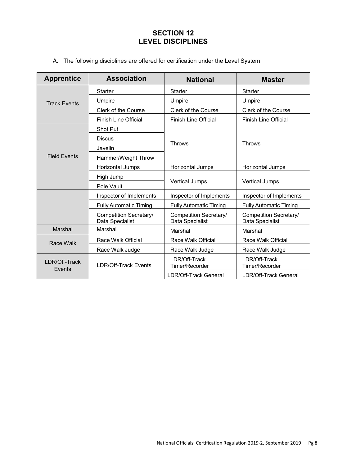#### **SECTION 12 LEVEL DISCIPLINES**

A. The following disciplines are offered for certification under the Level System:

| <b>Apprentice</b>       | <b>Association</b>                        | <b>National</b>                                                                        | <b>Master</b>                   |  |
|-------------------------|-------------------------------------------|----------------------------------------------------------------------------------------|---------------------------------|--|
|                         | Starter                                   | <b>Starter</b><br>Starter                                                              |                                 |  |
| <b>Track Events</b>     | Umpire                                    | Umpire                                                                                 | Umpire                          |  |
|                         | Clerk of the Course                       | Clerk of the Course<br>Clerk of the Course                                             |                                 |  |
|                         | <b>Finish Line Official</b>               | <b>Finish Line Official</b>                                                            | <b>Finish Line Official</b>     |  |
|                         | Shot Put                                  |                                                                                        |                                 |  |
|                         | <b>Discus</b>                             |                                                                                        |                                 |  |
|                         | <b>Throws</b><br>Javelin                  |                                                                                        | <b>Throws</b>                   |  |
| <b>Field Fvents</b>     | Hammer/Weight Throw                       |                                                                                        |                                 |  |
|                         | Horizontal Jumps                          | Horizontal Jumps                                                                       | Horizontal Jumps                |  |
|                         | High Jump                                 |                                                                                        | Vertical Jumps                  |  |
|                         | Pole Vault                                | <b>Vertical Jumps</b>                                                                  |                                 |  |
|                         | Inspector of Implements                   | Inspector of Implements<br>Inspector of Implements                                     |                                 |  |
|                         | <b>Fully Automatic Timing</b>             | <b>Fully Automatic Timing</b>                                                          | <b>Fully Automatic Timing</b>   |  |
|                         | Competition Secretary/<br>Data Specialist | Competition Secretary/<br>Competition Secretary/<br>Data Specialist<br>Data Specialist |                                 |  |
| Marshal                 | Marshal                                   | Marshal                                                                                | Marshal                         |  |
| Race Walk               | Race Walk Official                        | Race Walk Official                                                                     | Race Walk Official              |  |
|                         | Race Walk Judge                           | Race Walk Judge                                                                        | Race Walk Judge                 |  |
| LDR/Off-Track<br>Events | <b>I DR/Off-Track Fvents</b>              | LDR/Off-Track<br>Timer/Recorder                                                        | LDR/Off-Track<br>Timer/Recorder |  |
|                         |                                           | LDR/Off-Track General                                                                  | LDR/Off-Track General           |  |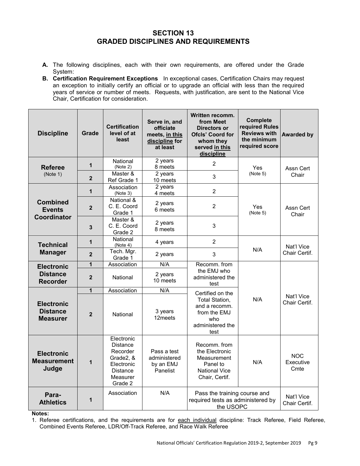#### **SECTION 13 GRADED DISCIPLINES AND REQUIREMENTS**

- **A.** The following disciplines, each with their own requirements, are offered under the Grade System:
- **B. Certification Requirement Exceptions** In exceptional cases, Certification Chairs may request an exception to initially certify an official or to upgrade an official with less than the required years of service or number of meets. Requests, with justification, are sent to the National Vice Chair, Certification for consideration.

| <b>Discipline</b>                                       | Grade          | <b>Certification</b><br>level of at<br>least                                                                   | Serve in, and<br>officiate<br>meets, in this<br>discipline for<br>at least | Written recomm.<br>from Meet<br>Directors or<br><b>Ofcls' Coord for</b><br>whom they<br>served in this<br>discipline | <b>Complete</b><br>required Rules<br><b>Reviews with</b><br>the minimum<br>required score | <b>Awarded by</b>               |
|---------------------------------------------------------|----------------|----------------------------------------------------------------------------------------------------------------|----------------------------------------------------------------------------|----------------------------------------------------------------------------------------------------------------------|-------------------------------------------------------------------------------------------|---------------------------------|
| <b>Referee</b><br>(Note 1)                              | 1              | National<br>(Note 2)                                                                                           | 2 years<br>8 meets                                                         | $\overline{2}$                                                                                                       | Yes                                                                                       | Assn Cert                       |
|                                                         | $\overline{2}$ | Master &<br>Ref Grade 1                                                                                        | 2 years<br>10 meets                                                        | 3                                                                                                                    | (Note 5)                                                                                  | Chair                           |
| <b>Combined</b><br><b>Events</b><br>Coordinator         | 1              | Association<br>(Note 3)                                                                                        | 2 years<br>4 meets                                                         | $\overline{2}$                                                                                                       |                                                                                           |                                 |
|                                                         | $\mathbf{2}$   | National &<br>C. E. Coord<br>Grade 1                                                                           | 2 years<br>6 meets                                                         | $\overline{2}$                                                                                                       | Yes<br>(Note 5)                                                                           | Assn Cert<br>Chair              |
|                                                         | 3              | Master &<br>C. E. Coord<br>Grade 2                                                                             | 2 years<br>8 meets                                                         | 3                                                                                                                    |                                                                                           |                                 |
| <b>Technical</b>                                        | $\mathbf{1}$   | National<br>(Note 4)                                                                                           | 4 years                                                                    | $\overline{2}$                                                                                                       | N/A                                                                                       | Nat'l Vice<br>Chair Certif.     |
| <b>Manager</b>                                          | $\mathbf{2}$   | Tech. Mgr.<br>Grade 1                                                                                          | 2 years                                                                    | $\mathbf{3}$                                                                                                         |                                                                                           |                                 |
| <b>Electronic</b>                                       | $\mathbf{1}$   | Association                                                                                                    | N/A                                                                        | Recomm. from                                                                                                         |                                                                                           |                                 |
| <b>Distance</b><br><b>Recorder</b>                      | $\overline{2}$ | National                                                                                                       | 2 years<br>10 meets                                                        | the EMJ who<br>administered the<br>test                                                                              |                                                                                           |                                 |
|                                                         | $\mathbf{1}$   | Association                                                                                                    | N/A                                                                        | Certified on the                                                                                                     |                                                                                           |                                 |
| <b>Electronic</b><br><b>Distance</b><br><b>Measurer</b> | $\overline{2}$ | National                                                                                                       | 3 years<br>12 <sub>meets</sub>                                             | Total Station,<br>and a recomm.<br>from the EMJ<br>who<br>administered the<br>test                                   | N/A                                                                                       | Nat'l Vice<br>Chair Certif.     |
| <b>Electronic</b><br><b>Measurement</b><br>Judge        | 1              | Electronic<br><b>Distance</b><br>Recorder<br>Grade2, &<br>Electronic<br><b>Distance</b><br>Measurer<br>Grade 2 | Pass a test<br>administered<br>by an EMJ<br>Panelist                       | Recomm. from<br>the Electronic<br>Measurement<br>Panel to<br><b>National Vice</b><br>Chair, Certif.                  | N/A                                                                                       | <b>NOC</b><br>Executive<br>Cmte |
| Para-<br><b>Athletics</b>                               | 1              | Association                                                                                                    | N/A                                                                        | Pass the training course and<br>required tests as administered by<br>the USOPC                                       |                                                                                           | Nat'l Vice<br>Chair Certif.     |

**Notes:** 

1. Referee certifications, and the requirements are for each individual discipline: Track Referee, Field Referee, Combined Events Referee, LDR/Off-Track Referee, and Race Walk Referee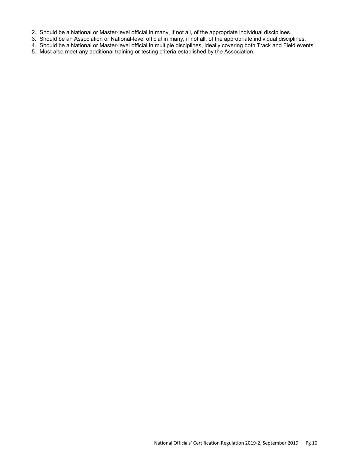- 2. Should be a National or Master-level official in many, if not all, of the appropriate individual disciplines.
- 3. Should be an Association or National-level official in many, if not all, of the appropriate individual disciplines.
- 4. Should be a National or Master-level official in multiple disciplines, ideally covering both Track and Field events.
- 5. Must also meet any additional training or testing criteria established by the Association.